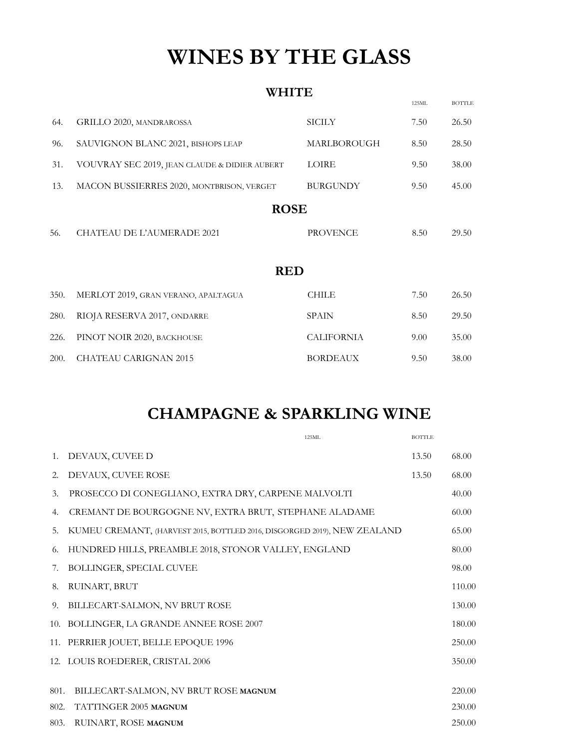# **WINES BY THE GLASS**

#### **WHITE**

|      |                                               |                   | 125ML | <b>BOTTLE</b> |
|------|-----------------------------------------------|-------------------|-------|---------------|
| 64.  | GRILLO 2020, MANDRAROSSA                      | <b>SICILY</b>     | 7.50  | 26.50         |
| 96.  | SAUVIGNON BLANC 2021, BISHOPS LEAP            | MARLBOROUGH       | 8.50  | 28.50         |
| 31.  | VOUVRAY SEC 2019, JEAN CLAUDE & DIDIER AUBERT | LOIRE             | 9.50  | 38.00         |
| 13.  | MACON BUSSIERRES 2020, MONTBRISON, VERGET     | <b>BURGUNDY</b>   | 9.50  | 45.00         |
|      | <b>ROSE</b>                                   |                   |       |               |
| 56.  | <b>CHATEAU DE L'AUMERADE 2021</b>             | <b>PROVENCE</b>   | 8.50  | 29.50         |
|      |                                               |                   |       |               |
|      | <b>RED</b>                                    |                   |       |               |
| 350. | MERLOT 2019, GRAN VERANO, APALTAGUA           | <b>CHILE</b>      | 7.50  | 26.50         |
| 280. | RIOJA RESERVA 2017, ONDARRE                   | <b>SPAIN</b>      | 8.50  | 29.50         |
| 226. | PINOT NOIR 2020, BACKHOUSE                    | <b>CALIFORNIA</b> | 9.00  | 35.00         |
| 200. | <b>CHATEAU CARIGNAN 2015</b>                  | <b>BORDEAUX</b>   | 9.50  | 38.00         |
|      |                                               |                   |       |               |

## **CHAMPAGNE & SPARKLING WINE**

|             | 125ML                                                                    | <b>BOTTLE</b> |        |
|-------------|--------------------------------------------------------------------------|---------------|--------|
| $1_{\cdot}$ | DEVAUX, CUVEE D                                                          | 13.50         | 68.00  |
| 2.          | DEVAUX, CUVEE ROSE                                                       | 13.50         | 68.00  |
| 3.          | PROSECCO DI CONEGLIANO, EXTRA DRY, CARPENE MALVOLTI                      |               | 40.00  |
| 4.          | CREMANT DE BOURGOGNE NV, EXTRA BRUT, STEPHANE ALADAME                    |               | 60.00  |
| 5.          | KUMEU CREMANT, (HARVEST 2015, BOTTLED 2016, DISGORGED 2019), NEW ZEALAND |               | 65.00  |
| 6.          | HUNDRED HILLS, PREAMBLE 2018, STONOR VALLEY, ENGLAND                     |               | 80.00  |
| 7.          | BOLLINGER, SPECIAL CUVEE                                                 |               | 98.00  |
| 8.          | RUINART, BRUT                                                            |               | 110.00 |
| 9.          | BILLECART-SALMON, NV BRUT ROSE                                           |               | 130.00 |
|             | 10. BOLLINGER, LA GRANDE ANNEE ROSE 2007                                 |               | 180.00 |
|             | 11. PERRIER JOUET, BELLE EPOQUE 1996                                     |               | 250.00 |
|             | 12. LOUIS ROEDERER, CRISTAL 2006                                         |               | 350.00 |
|             |                                                                          |               |        |
| 801.        | BILLECART-SALMON, NV BRUT ROSE MAGNUM                                    |               | 220.00 |
| 802.        | TATTINGER 2005 MAGNUM                                                    |               | 230.00 |
| 803.        | RUINART, ROSE MAGNUM                                                     |               | 250.00 |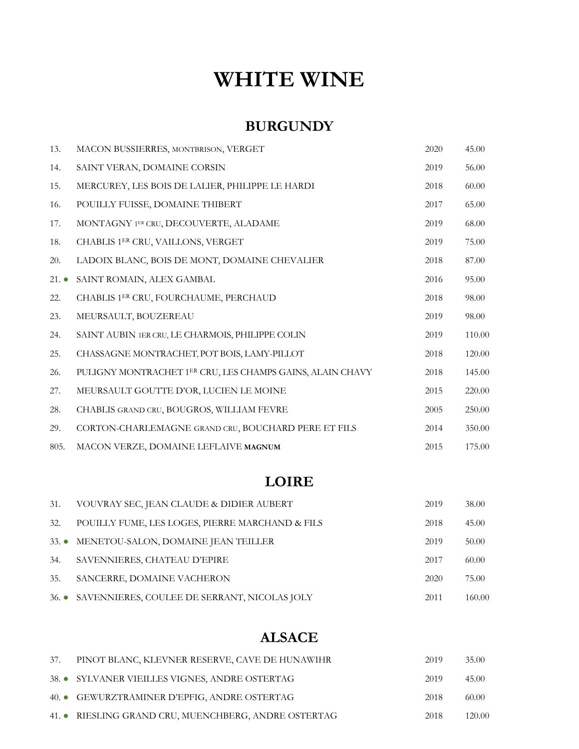# **WHITE WINE**

#### **BURGUNDY**

| 13.  | MACON BUSSIERRES, MONTBRISON, VERGET                      | 2020 | 45.00  |
|------|-----------------------------------------------------------|------|--------|
| 14.  | SAINT VERAN, DOMAINE CORSIN                               | 2019 | 56.00  |
| 15.  | MERCUREY, LES BOIS DE LALIER, PHILIPPE LE HARDI           | 2018 | 60.00  |
| 16.  | POUILLY FUISSE, DOMAINE THIBERT                           | 2017 | 65.00  |
| 17.  | MONTAGNY 1ER CRU, DECOUVERTE, ALADAME                     | 2019 | 68.00  |
| 18.  | CHABLIS 1ER CRU, VAILLONS, VERGET                         | 2019 | 75.00  |
| 20.  | LADOIX BLANC, BOIS DE MONT, DOMAINE CHEVALIER             | 2018 | 87.00  |
| 21.  | SAINT ROMAIN, ALEX GAMBAL                                 | 2016 | 95.00  |
| 22.  | CHABLIS 1ER CRU, FOURCHAUME, PERCHAUD                     | 2018 | 98.00  |
| 23.  | MEURSAULT, BOUZEREAU                                      | 2019 | 98.00  |
| 24.  | SAINT AUBIN 1ER CRU, LE CHARMOIS, PHILIPPE COLIN          | 2019 | 110.00 |
| 25.  | CHASSAGNE MONTRACHET, POT BOIS, LAMY-PILLOT               | 2018 | 120.00 |
| 26.  | PULIGNY MONTRACHET 1ER CRU, LES CHAMPS GAINS, ALAIN CHAVY | 2018 | 145.00 |
| 27.  | MEURSAULT GOUTTE D'OR, LUCIEN LE MOINE                    | 2015 | 220.00 |
| 28.  | CHABLIS GRAND CRU, BOUGROS, WILLIAM FEVRE                 | 2005 | 250.00 |
| 29.  | CORTON-CHARLEMAGNE GRAND CRU, BOUCHARD PERE ET FILS       | 2014 | 350.00 |
| 805. | MACON VERZE, DOMAINE LEFLAIVE MAGNUM                      | 2015 | 175.00 |

### **LOIRE**

| 31.             | VOUVRAY SEC, JEAN CLAUDE & DIDIER AUBERT           | 2019 | 38.00  |
|-----------------|----------------------------------------------------|------|--------|
| 32.             | POUILLY FUME, LES LOGES, PIERRE MARCHAND & FILS    | 2018 | 45.00  |
| $33.$ $\bullet$ | MENETOU-SALON, DOMAINE JEAN TEILLER                | 2019 | 50.00  |
| 34.             | SAVENNIERES, CHATEAU D'EPIRE                       | 2017 | 60.00  |
| 35.             | SANCERRE, DOMAINE VACHERON                         | 2020 | 75.00  |
|                 | 36. • SAVENNIERES, COULEE DE SERRANT, NICOLAS JOLY | 2011 | 160.00 |

### **ALSACE**

| 37. | PINOT BLANC, KLEVNER RESERVE, CAVE DE HUNAWIHR       | 2019 | 35.00  |
|-----|------------------------------------------------------|------|--------|
|     | 38. • SYLVANER VIEILLES VIGNES, ANDRE OSTERTAG       | 2019 | 45.00  |
|     | 40. GEWURZTRAMINER D'EPFIG, ANDRE OSTERTAG           | 2018 | 60.00  |
|     | 41. • RIESLING GRAND CRU, MUENCHBERG, ANDRE OSTERTAG | 2018 | 120.00 |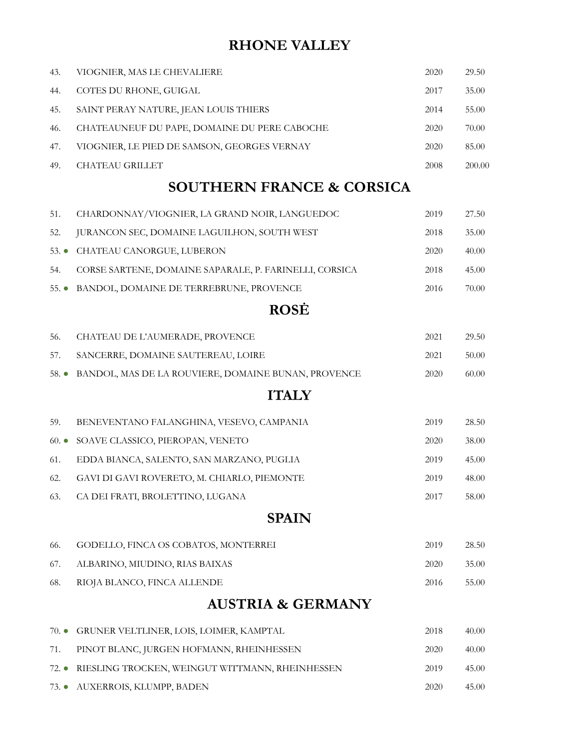## **RHONE VALLEY**

| 43.             | VIOGNIER, MAS LE CHEVALIERE                            | 2020 | 29.50  |
|-----------------|--------------------------------------------------------|------|--------|
| 44.             | COTES DU RHONE, GUIGAL                                 | 2017 | 35.00  |
| 45.             | SAINT PERAY NATURE, JEAN LOUIS THIERS                  | 2014 | 55.00  |
| 46.             | CHATEAUNEUF DU PAPE, DOMAINE DU PERE CABOCHE           | 2020 | 70.00  |
| 47.             | VIOGNIER, LE PIED DE SAMSON, GEORGES VERNAY            | 2020 | 85.00  |
| 49.             | <b>CHATEAU GRILLET</b>                                 | 2008 | 200.00 |
|                 | <b>SOUTHERN FRANCE &amp; CORSICA</b>                   |      |        |
| 51.             | CHARDONNAY/VIOGNIER, LA GRAND NOIR, LANGUEDOC          | 2019 | 27.50  |
| 52.             | JURANCON SEC, DOMAINE LAGUILHON, SOUTH WEST            | 2018 | 35.00  |
| $53.$ $\bullet$ | CHATEAU CANORGUE, LUBERON                              | 2020 | 40.00  |
| 54.             | CORSE SARTENE, DOMAINE SAPARALE, P. FARINELLI, CORSICA | 2018 | 45.00  |
| $55.$ $\bullet$ | BANDOL, DOMAINE DE TERREBRUNE, PROVENCE                | 2016 | 70.00  |
|                 | <b>ROSE</b>                                            |      |        |
| 56.             | CHATEAU DE L'AUMERADE, PROVENCE                        | 2021 | 29.50  |
| 57.             | SANCERRE, DOMAINE SAUTEREAU, LOIRE                     | 2021 | 50.00  |
| $58.$ $\bullet$ | BANDOL, MAS DE LA ROUVIERE, DOMAINE BUNAN, PROVENCE    | 2020 | 60.00  |
|                 | <b>ITALY</b>                                           |      |        |
| 59.             | BENEVENTANO FALANGHINA, VESEVO, CAMPANIA               | 2019 | 28.50  |
| $60. \bullet$   | SOAVE CLASSICO, PIEROPAN, VENETO                       | 2020 | 38.00  |
| 61.             | EDDA BIANCA, SALENTO, SAN MARZANO, PUGLIA              | 2019 | 45.00  |
| 62.             | GAVI DI GAVI ROVERETO, M. CHIARLO, PIEMONTE            | 2019 | 48.00  |
| 63.             | CA DEI FRATI, BROLETTINO, LUGANA                       | 2017 | 58.00  |
|                 | <b>SPAIN</b>                                           |      |        |
| 66.             | GODELLO, FINCA OS COBATOS, MONTERREI                   | 2019 | 28.50  |
| 67.             | ALBARINO, MIUDINO, RIAS BAIXAS                         | 2020 | 35.00  |
| 68.             | RIOJA BLANCO, FINCA ALLENDE                            | 2016 | 55.00  |
|                 | <b>AUSTRIA &amp; GERMANY</b>                           |      |        |
| $70.$ $\bullet$ | GRUNER VELTLINER, LOIS, LOIMER, KAMPTAL                | 2018 | 40.00  |
| 71.             | PINOT BLANC, JURGEN HOFMANN, RHEINHESSEN               | 2020 | 40.00  |
| $72.$ $\bullet$ | RIESLING TROCKEN, WEINGUT WITTMANN, RHEINHESSEN        | 2019 | 45.00  |
| 73.             | AUXERROIS, KLUMPP, BADEN                               | 2020 | 45.00  |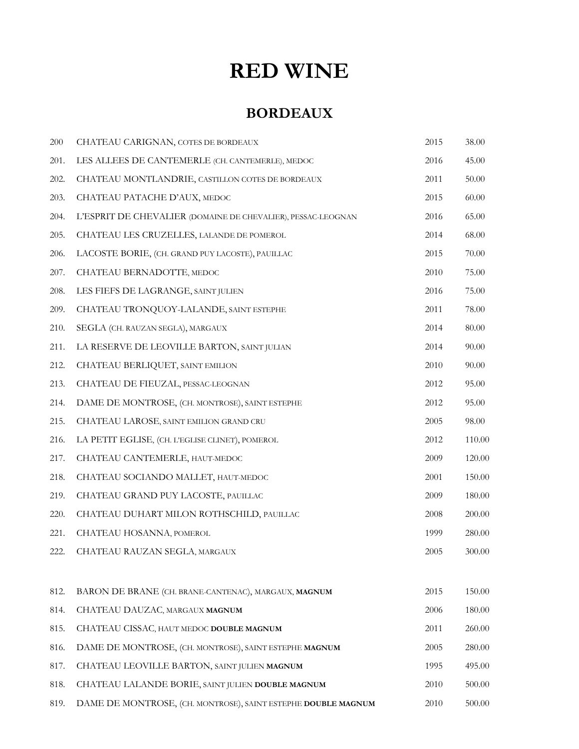## **RED WINE**

### **BORDEAUX**

| 200  | CHATEAU CARIGNAN, COTES DE BORDEAUX                           | 2015 | 38.00     |
|------|---------------------------------------------------------------|------|-----------|
| 201. | LES ALLEES DE CANTEMERLE (CH. CANTEMERLE), MEDOC              | 2016 | 45.00     |
| 202. | CHATEAU MONTLANDRIE, CASTILLON COTES DE BORDEAUX              | 2011 | 50.00     |
| 203. | CHATEAU PATACHE D'AUX, MEDOC                                  | 2015 | 60.00     |
| 204. | L'ESPRIT DE CHEVALIER (DOMAINE DE CHEVALIER), PESSAC-LEOGNAN  | 2016 | 65.00     |
| 205. | CHATEAU LES CRUZELLES, LALANDE DE POMEROL                     | 2014 | 68.00     |
| 206. | LACOSTE BORIE, (CH. GRAND PUY LACOSTE), PAUILLAC              | 2015 | $70.00\,$ |
| 207. | CHATEAU BERNADOTTE, MEDOC                                     | 2010 | 75.00     |
| 208. | LES FIEFS DE LAGRANGE, SAINT JULIEN                           | 2016 | 75.00     |
| 209. | CHATEAU TRONQUOY-LALANDE, SAINT ESTEPHE                       | 2011 | 78.00     |
| 210. | SEGLA (CH. RAUZAN SEGLA), MARGAUX                             | 2014 | 80.00     |
| 211. | LA RESERVE DE LEOVILLE BARTON, SAINT JULIAN                   | 2014 | 90.00     |
| 212. | CHATEAU BERLIQUET, SAINT EMILION                              | 2010 | 90.00     |
| 213. | CHATEAU DE FIEUZAL, PESSAC-LEOGNAN                            | 2012 | 95.00     |
| 214. | DAME DE MONTROSE, (CH. MONTROSE), SAINT ESTEPHE               | 2012 | 95.00     |
| 215. | CHATEAU LAROSE, SAINT EMILION GRAND CRU                       | 2005 | 98.00     |
| 216. | LA PETIT EGLISE, (CH. L'EGLISE CLINET), POMEROL               | 2012 | 110.00    |
| 217. | CHATEAU CANTEMERLE, HAUT-MEDOC                                | 2009 | 120.00    |
| 218. | CHATEAU SOCIANDO MALLET, HAUT-MEDOC                           | 2001 | 150.00    |
| 219. | CHATEAU GRAND PUY LACOSTE, PAUILLAC                           | 2009 | 180.00    |
| 220. | CHATEAU DUHART MILON ROTHSCHILD, PAUILLAC                     | 2008 | 200.00    |
| 221. | CHATEAU HOSANNA, POMEROL                                      | 1999 | 280.00    |
| 222. | CHATEAU RAUZAN SEGLA, MARGAUX                                 | 2005 | 300.00    |
|      |                                                               |      |           |
| 812. | BARON DE BRANE (CH. BRANE-CANTENAC), MARGAUX, MAGNUM          | 2015 | 150.00    |
| 814. | CHATEAU DAUZAC, MARGAUX MAGNUM                                | 2006 | 180.00    |
| 815. | CHATEAU CISSAC, HAUT MEDOC DOUBLE MAGNUM                      | 2011 | 260.00    |
| 816. | DAME DE MONTROSE, (CH. MONTROSE), SAINT ESTEPHE MAGNUM        | 2005 | 280.00    |
| 817. | CHATEAU LEOVILLE BARTON, SAINT JULIEN MAGNUM                  | 1995 | 495.00    |
| 818. | CHATEAU LALANDE BORIE, SAINT JULIEN DOUBLE MAGNUM             | 2010 | 500.00    |
| 819. | DAME DE MONTROSE, (CH. MONTROSE), SAINT ESTEPHE DOUBLE MAGNUM | 2010 | 500.00    |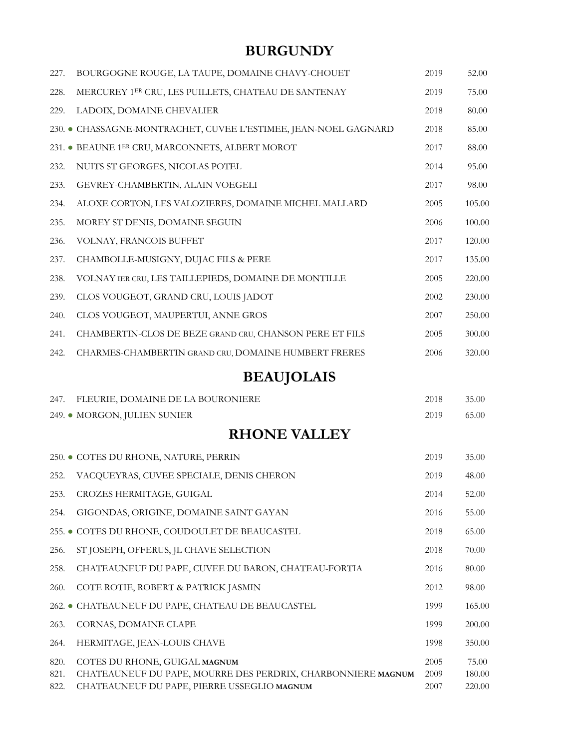## **BURGUNDY**

| 227. | BOURGOGNE ROUGE, LA TAUPE, DOMAINE CHAVY-CHOUET               | 2019 | 52.00  |
|------|---------------------------------------------------------------|------|--------|
| 228. | MERCUREY 1ER CRU, LES PUILLETS, CHATEAU DE SANTENAY           | 2019 | 75.00  |
| 229. | LADOIX, DOMAINE CHEVALIER                                     | 2018 | 80.00  |
|      | 230. CHASSAGNE-MONTRACHET, CUVEE L'ESTIMEE, JEAN-NOEL GAGNARD | 2018 | 85.00  |
|      | 231. • BEAUNE 1ER CRU, MARCONNETS, ALBERT MOROT               | 2017 | 88.00  |
| 232. | NUITS ST GEORGES, NICOLAS POTEL                               | 2014 | 95.00  |
| 233. | GEVREY-CHAMBERTIN, ALAIN VOEGELI                              | 2017 | 98.00  |
| 234. | ALOXE CORTON, LES VALOZIERES, DOMAINE MICHEL MALLARD          | 2005 | 105.00 |
| 235. | MOREY ST DENIS, DOMAINE SEGUIN                                | 2006 | 100.00 |
| 236. | VOLNAY, FRANCOIS BUFFET                                       | 2017 | 120.00 |
| 237. | CHAMBOLLE-MUSIGNY, DUJAC FILS & PERE                          | 2017 | 135.00 |
| 238. | VOLNAY IER CRU, LES TAILLEPIEDS, DOMAINE DE MONTILLE          | 2005 | 220.00 |
| 239. | CLOS VOUGEOT, GRAND CRU, LOUIS JADOT                          | 2002 | 230.00 |
| 240. | CLOS VOUGEOT, MAUPERTUI, ANNE GROS                            | 2007 | 250.00 |
| 241. | CHAMBERTIN-CLOS DE BEZE GRAND CRU, CHANSON PERE ET FILS       | 2005 | 300.00 |
| 242. | CHARMES-CHAMBERTIN GRAND CRU, DOMAINE HUMBERT FRERES          | 2006 | 320.00 |

## **BEAUJOLAIS**

| 247.                 | FLEURIE, DOMAINE DE LA BOURONIERE                                                                                                            | 2018                 | 35.00                     |
|----------------------|----------------------------------------------------------------------------------------------------------------------------------------------|----------------------|---------------------------|
|                      | 249. • MORGON, JULIEN SUNIER                                                                                                                 | 2019                 | 65.00                     |
|                      | <b>RHONE VALLEY</b>                                                                                                                          |                      |                           |
|                      | 250. ● COTES DU RHONE, NATURE, PERRIN                                                                                                        | 2019                 | 35.00                     |
| 252.                 | VACQUEYRAS, CUVEE SPECIALE, DENIS CHERON                                                                                                     | 2019                 | 48.00                     |
| 253.                 | CROZES HERMITAGE, GUIGAL                                                                                                                     | 2014                 | 52.00                     |
| 254.                 | GIGONDAS, ORIGINE, DOMAINE SAINT GAYAN                                                                                                       | 2016                 | 55.00                     |
|                      | 255. • COTES DU RHONE, COUDOULET DE BEAUCASTEL                                                                                               | 2018                 | 65.00                     |
| 256.                 | ST JOSEPH, OFFERUS, JL CHAVE SELECTION                                                                                                       | 2018                 | 70.00                     |
| 258.                 | CHATEAUNEUF DU PAPE, CUVEE DU BARON, CHATEAU-FORTIA                                                                                          | 2016                 | 80.00                     |
| 260.                 | COTE ROTIE, ROBERT & PATRICK JASMIN                                                                                                          | 2012                 | 98.00                     |
|                      | 262. CHATEAUNEUF DU PAPE, CHATEAU DE BEAUCASTEL                                                                                              | 1999                 | 165.00                    |
| 263.                 | CORNAS, DOMAINE CLAPE                                                                                                                        | 1999                 | 200.00                    |
| 264.                 | HERMITAGE, JEAN-LOUIS CHAVE                                                                                                                  | 1998                 | 350.00                    |
| 820.<br>821.<br>822. | COTES DU RHONE, GUIGAL MAGNUM<br>CHATEAUNEUF DU PAPE, MOURRE DES PERDRIX, CHARBONNIERE MAGNUM<br>CHATEAUNEUF DU PAPE, PIERRE USSEGLIO MAGNUM | 2005<br>2009<br>2007 | 75.00<br>180.00<br>220.00 |
|                      |                                                                                                                                              |                      |                           |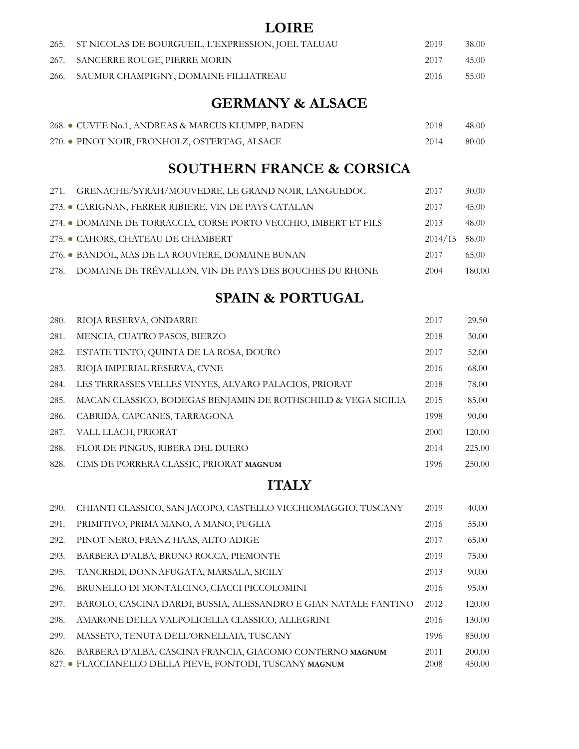#### **LOIRE**

| 265. ST NICOLAS DE BOURGUEIL, L'EXPRESSION, JOEL TALUAU | 2019 | 38.00 |
|---------------------------------------------------------|------|-------|
| 267. SANCERRE ROUGE, PIERRE MORIN                       | 2017 | 45.00 |
| 266. SAUMUR CHAMPIGNY, DOMAINE FILLIATREAU              | 2016 | 55.00 |

#### **GERMANY & ALSACE**

| 268. • CUVEE No.1, ANDREAS & MARCUS KLUMPP, BADEN | 2018 | 48.00 |
|---------------------------------------------------|------|-------|
| 270. • PINOT NOIR, FRONHOLZ, OSTERTAG, ALSACE     | 2014 | 80.00 |

#### **SOUTHERN FRANCE & CORSICA**

| 271. | GRENACHE/SYRAH/MOUVEDRE, LE GRAND NOIR, LANGUEDOC                | 2017    | 30.00  |
|------|------------------------------------------------------------------|---------|--------|
|      | 273. CARIGNAN, FERRER RIBIERE, VIN DE PAYS CATALAN               | 2017    | 45.00  |
|      | 274. • DOMAINE DE TORRACCIA, CORSE PORTO VECCHIO, IMBERT ET FILS | 2013    | 48.00  |
|      | 275. CAHORS, CHATEAU DE CHAMBERT                                 | 2014/15 | 58.00  |
|      | 276. • BANDOL, MAS DE LA ROUVIERE, DOMAINE BUNAN                 | 2017    | 65.00  |
| 278. | DOMAINE DE TRÉVALLON, VIN DE PAYS DES BOUCHES DU RHONE           | 2004    | 180.00 |

#### **SPAIN & PORTUGAL**

| 280. | RIOJA RESERVA, ONDARRE                                        | 2017 | 29.50  |
|------|---------------------------------------------------------------|------|--------|
| 281. | MENCIA, CUATRO PASOS, BIERZO                                  | 2018 | 30.00  |
| 282. | ESTATE TINTO, QUINTA DE LA ROSA, DOURO                        | 2017 | 52.00  |
| 283. | RIOJA IMPERIAL RESERVA, CVNE                                  | 2016 | 68.00  |
| 284. | LES TERRASSES VELLES VINYES, ALVARO PALACIOS, PRIORAT         | 2018 | 78.00  |
| 285. | MACAN CLASSICO, BODEGAS BENJAMIN DE ROTHSCHILD & VEGA SICILIA | 2015 | 85.00  |
| 286. | CABRIDA, CAPCANES, TARRAGONA                                  | 1998 | 90.00  |
| 287. | VALL LLACH, PRIORAT                                           | 2000 | 120.00 |
| 288. | FLOR DE PINGUS, RIBERA DEL DUERO                              | 2014 | 225.00 |
| 828. | CIMS DE PORRERA CLASSIC, PRIORAT MAGNUM                       | 1996 | 250.00 |

#### **ITALY**

| 290. | CHIANTI CLASSICO, SAN JACOPO, CASTELLO VICCHIOMAGGIO, TUSCANY   | 2019 | 40.00  |
|------|-----------------------------------------------------------------|------|--------|
| 291. | PRIMITIVO, PRIMA MANO, A MANO, PUGLIA                           | 2016 | 55.00  |
| 292. | PINOT NERO, FRANZ HAAS, ALTO ADIGE                              | 2017 | 65.00  |
| 293. | BARBERA D'ALBA, BRUNO ROCCA, PIEMONTE                           | 2019 | 75.00  |
| 295. | TANCREDI, DONNAFUGATA, MARSALA, SICILY                          | 2013 | 90.00  |
| 296. | BRUNELLO DI MONTALCINO, CIACCI PICCOLOMINI                      | 2016 | 95.00  |
| 297. | BAROLO, CASCINA DARDI, BUSSIA, ALESSANDRO E GIAN NATALE FANTINO | 2012 | 120.00 |
| 298. | AMARONE DELLA VALPOLICELLA CLASSICO, ALLEGRINI                  | 2016 | 130.00 |
| 299. | MASSETO, TENUTA DELL'ORNELLAIA, TUSCANY                         | 1996 | 850.00 |
| 826. | BARBERA D'ALBA, CASCINA FRANCIA, GIACOMO CONTERNO MAGNUM        | 2011 | 200.00 |
|      | 827. • FLACCIANELLO DELLA PIEVE, FONTODI, TUSCANY MAGNUM        | 2008 | 450.00 |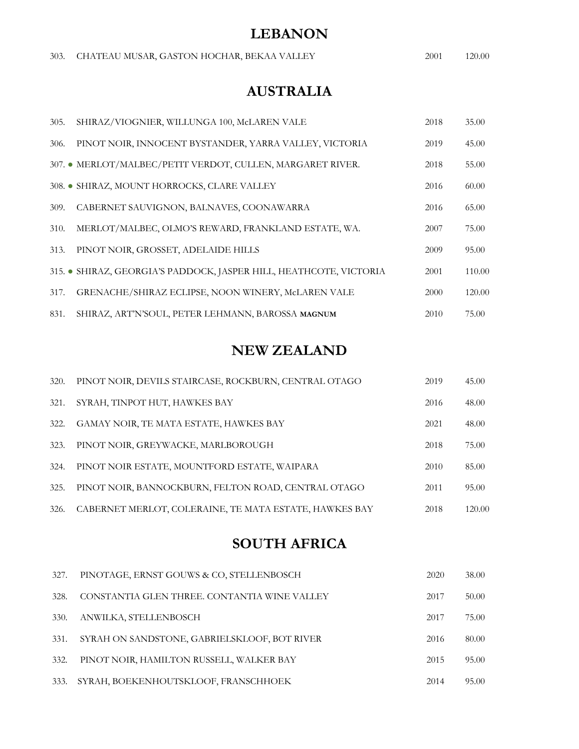#### **LEBANON**

|  |  | 303. CHATEAU MUSAR, GASTON HOCHAR, BEKAA VALLEY | 2001 | 120.00 |
|--|--|-------------------------------------------------|------|--------|
|--|--|-------------------------------------------------|------|--------|

## **AUSTRALIA**

| 305. | SHIRAZ/VIOGNIER, WILLUNGA 100, McLAREN VALE                        | 2018 | 35.00  |
|------|--------------------------------------------------------------------|------|--------|
| 306. | PINOT NOIR, INNOCENT BYSTANDER, YARRA VALLEY, VICTORIA             | 2019 | 45.00  |
|      | 307. • MERLOT/MALBEC/PETIT VERDOT, CULLEN, MARGARET RIVER.         | 2018 | 55.00  |
|      | 308. • SHIRAZ, MOUNT HORROCKS, CLARE VALLEY                        | 2016 | 60.00  |
| 309. | CABERNET SAUVIGNON, BALNAVES, COONAWARRA                           | 2016 | 65.00  |
| 310. | MERLOT/MALBEC, OLMO'S REWARD, FRANKLAND ESTATE, WA.                | 2007 | 75.00  |
| 313. | PINOT NOIR, GROSSET, ADELAIDE HILLS                                | 2009 | 95.00  |
|      | 315. • SHIRAZ, GEORGIA'S PADDOCK, JASPER HILL, HEATHCOTE, VICTORIA | 2001 | 110.00 |
| 317. | GRENACHE/SHIRAZ ECLIPSE, NOON WINERY, McLAREN VALE                 | 2000 | 120.00 |
| 831. | SHIRAZ, ART'N'SOUL, PETER LEHMANN, BAROSSA MAGNUM                  | 2010 | 75.00  |

### **NEW ZEALAND**

| 320. | PINOT NOIR, DEVILS STAIRCASE, ROCKBURN, CENTRAL OTAGO  | 2019 | 45.00  |
|------|--------------------------------------------------------|------|--------|
| 321. | SYRAH, TINPOT HUT, HAWKES BAY                          | 2016 | 48.00  |
| 322. | GAMAY NOIR, TE MATA ESTATE, HAWKES BAY                 | 2021 | 48.00  |
| 323. | PINOT NOIR, GREYWACKE, MARLBOROUGH                     | 2018 | 75.00  |
| 324. | PINOT NOIR ESTATE, MOUNTFORD ESTATE, WAIPARA           | 2010 | 85.00  |
| 325. | PINOT NOIR, BANNOCKBURN, FELTON ROAD, CENTRAL OTAGO    | 2011 | 95.00  |
| 326. | CABERNET MERLOT, COLERAINE, TE MATA ESTATE, HAWKES BAY | 2018 | 120.00 |

### **SOUTH AFRICA**

| 327.        | PINOTAGE, ERNST GOUWS & CO, STELLENBOSCH     | 2020 | 38.00 |
|-------------|----------------------------------------------|------|-------|
| 328.        | CONSTANTIA GLEN THREE. CONTANTIA WINE VALLEY | 2017 | 50.00 |
| <b>330.</b> | ANWILKA, STELLENBOSCH                        | 2017 | 75.00 |
| 331.        | SYRAH ON SANDSTONE, GABRIELSKLOOF, BOT RIVER | 2016 | 80.00 |
| 332.        | PINOT NOIR, HAMILTON RUSSELL, WALKER BAY     | 2015 | 95.00 |
| 333.        | SYRAH, BOEKENHOUTSKLOOF, FRANSCHHOEK         | 2014 | 95.00 |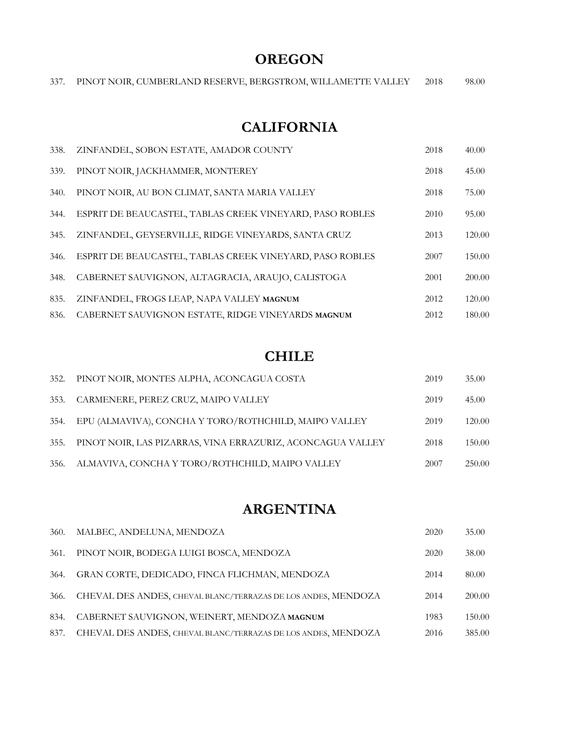## **OREGON**

|  |  | 337. PINOT NOIR, CUMBERLAND RESERVE, BERGSTROM, WILLAMETTE VALLEY |  |  |  |  | 2018 | 98.00 |
|--|--|-------------------------------------------------------------------|--|--|--|--|------|-------|
|--|--|-------------------------------------------------------------------|--|--|--|--|------|-------|

#### **CALIFORNIA**

| 338. | ZINFANDEL, SOBON ESTATE, AMADOR COUNTY                   | 2018 | 40.00  |
|------|----------------------------------------------------------|------|--------|
| 339. | PINOT NOIR, JACKHAMMER, MONTEREY                         | 2018 | 45.00  |
| 340. | PINOT NOIR, AU BON CLIMAT, SANTA MARIA VALLEY            | 2018 | 75.00  |
| 344. | ESPRIT DE BEAUCASTEL, TABLAS CREEK VINEYARD, PASO ROBLES | 2010 | 95.00  |
| 345. | ZINFANDEL, GEYSERVILLE, RIDGE VINEYARDS, SANTA CRUZ      | 2013 | 120.00 |
| 346. | ESPRIT DE BEAUCASTEL, TABLAS CREEK VINEYARD, PASO ROBLES | 2007 | 150.00 |
| 348. | CABERNET SAUVIGNON, ALTAGRACIA, ARAUJO, CALISTOGA        | 2001 | 200.00 |
| 835. | ZINFANDEL, FROGS LEAP, NAPA VALLEY MAGNUM                | 2012 | 120.00 |
| 836. | CABERNET SAUVIGNON ESTATE, RIDGE VINEYARDS MAGNUM        | 2012 | 180.00 |

#### **CHILE**

| 352. | PINOT NOIR, MONTES ALPHA, ACONCAGUA COSTA                  | 2019 | 35.00  |
|------|------------------------------------------------------------|------|--------|
| 353. | CARMENERE, PEREZ CRUZ, MAIPO VALLEY                        | 2019 | 45.00  |
| 354. | EPU (ALMAVIVA), CONCHA Y TORO/ROTHCHILD, MAIPO VALLEY      | 2019 | 120.00 |
| 355. | PINOT NOIR, LAS PIZARRAS, VINA ERRAZURIZ, ACONCAGUA VALLEY | 2018 | 150.00 |
| 356. | ALMAVIVA, CONCHA Y TORO/ROTHCHILD, MAIPO VALLEY            | 2007 | 250.00 |

#### **ARGENTINA**

| 360. | MALBEC, ANDELUNA, MENDOZA                                     | 2020 | 35.00  |
|------|---------------------------------------------------------------|------|--------|
| 361. | PINOT NOIR, BODEGA LUIGI BOSCA, MENDOZA                       | 2020 | 38.00  |
| 364. | GRAN CORTE, DEDICADO, FINCA FLICHMAN, MENDOZA                 | 2014 | 80.00  |
| 366. | CHEVAL DES ANDES, CHEVAL BLANC/TERRAZAS DE LOS ANDES, MENDOZA | 2014 | 200.00 |
| 834. | CABERNET SAUVIGNON, WEINERT, MENDOZA MAGNUM                   | 1983 | 150.00 |
| 837. | CHEVAL DES ANDES, CHEVAL BLANC/TERRAZAS DE LOS ANDES, MENDOZA | 2016 | 385.00 |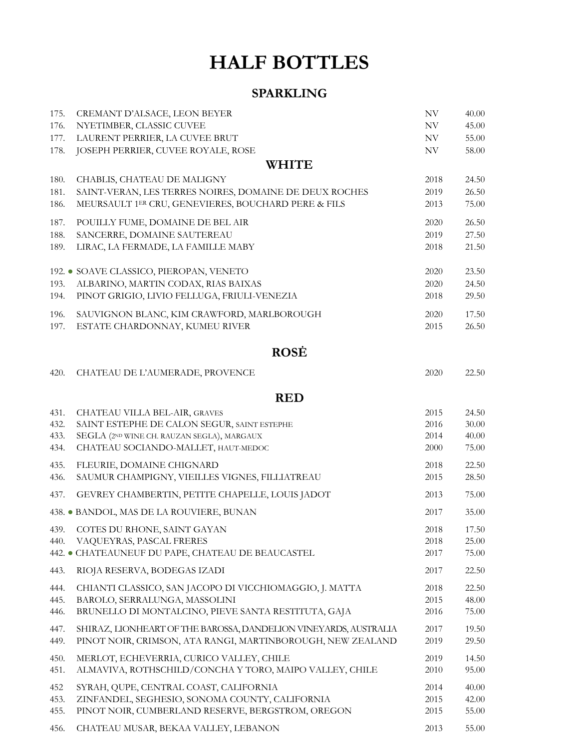# **HALF BOTTLES**

#### **SPARKLING**

| 175.         | CREMANT D'ALSACE, LEON BEYER                                                                                                  | $\ensuremath{\text{NV}}$ | 40.00                   |
|--------------|-------------------------------------------------------------------------------------------------------------------------------|--------------------------|-------------------------|
| 176.         | NYETIMBER, CLASSIC CUVEE                                                                                                      | $\ensuremath{\text{NV}}$ | 45.00                   |
| 177.         | LAURENT PERRIER, LA CUVEE BRUT                                                                                                | NV                       | 55.00                   |
| 178.         | JOSEPH PERRIER, CUVEE ROYALE, ROSE<br><b>WHITE</b>                                                                            | $\ensuremath{\text{NV}}$ | 58.00                   |
| 180.         | CHABLIS, CHATEAU DE MALIGNY                                                                                                   | 2018                     | 24.50                   |
| 181.         | SAINT-VERAN, LES TERRES NOIRES, DOMAINE DE DEUX ROCHES                                                                        | 2019                     | 26.50                   |
| 186.         | MEURSAULT 1ER CRU, GENEVIERES, BOUCHARD PERE & FILS                                                                           | 2013                     | 75.00                   |
| 187.         | POUILLY FUME, DOMAINE DE BEL AIR                                                                                              | 2020                     | 26.50                   |
| 188.         | SANCERRE, DOMAINE SAUTEREAU                                                                                                   | 2019                     | 27.50                   |
| 189.         | LIRAC, LA FERMADE, LA FAMILLE MABY                                                                                            | 2018                     | 21.50                   |
| 193.<br>194. | 192. • SOAVE CLASSICO, PIEROPAN, VENETO<br>ALBARINO, MARTIN CODAX, RIAS BAIXAS<br>PINOT GRIGIO, LIVIO FELLUGA, FRIULI-VENEZIA | 2020<br>2020<br>2018     | 23.50<br>24.50<br>29.50 |
| 196.         | SAUVIGNON BLANC, KIM CRAWFORD, MARLBOROUGH                                                                                    | 2020                     | 17.50                   |
| 197.         | ESTATE CHARDONNAY, KUMEU RIVER                                                                                                | 2015                     | 26.50                   |
|              | <b>ROSE</b>                                                                                                                   |                          |                         |
| 420.         | CHATEAU DE L'AUMERADE, PROVENCE                                                                                               | 2020                     | 22.50                   |
|              | <b>RED</b>                                                                                                                    |                          |                         |
| 431.         | CHATEAU VILLA BEL-AIR, GRAVES                                                                                                 | 2015                     | 24.50                   |
| 432.         | SAINT ESTEPHE DE CALON SEGUR, SAINT ESTEPHE                                                                                   | 2016                     | 30.00                   |
| 433.         | SEGLA (2ND WINE CH. RAUZAN SEGLA), MARGAUX                                                                                    | 2014                     | 40.00                   |
| 434.         | CHATEAU SOCIANDO-MALLET, HAUT-MEDOC                                                                                           | 2000                     | 75.00                   |
| 435.         | FLEURIE, DOMAINE CHIGNARD                                                                                                     | 2018                     | 22.50                   |
| 436.         | SAUMUR CHAMPIGNY, VIEILLES VIGNES, FILLIATREAU                                                                                | 2015                     | 28.50                   |
| 437.         | GEVREY CHAMBERTIN, PETITE CHAPELLE, LOUIS JADOT                                                                               | 2013                     | 75.00                   |
|              | 438. • BANDOL, MAS DE LA ROUVIERE, BUNAN                                                                                      | 2017                     | 35.00                   |
| 440.         | 439. COTES DU RHONE, SAINT GAYAN                                                                                              | 2018                     | 17.50                   |
|              | VAQUEYRAS, PASCAL FRERES                                                                                                      | 2018                     | 25.00                   |
|              | 442. CHATEAUNEUF DU PAPE, CHATEAU DE BEAUCASTEL                                                                               | 2017                     | 75.00                   |
| 443.         | RIOJA RESERVA, BODEGAS IZADI                                                                                                  | 2017                     | 22.50                   |
| 444.         | CHIANTI CLASSICO, SAN JACOPO DI VICCHIOMAGGIO, J. MATTA                                                                       | 2018                     | 22.50                   |
| 445.         | BAROLO, SERRALUNGA, MASSOLINI                                                                                                 | 2015                     | 48.00                   |
| 446.         | BRUNELLO DI MONTALCINO, PIEVE SANTA RESTITUTA, GAJA                                                                           | 2016                     | 75.00                   |
| 447.         | SHIRAZ, LIONHEART OF THE BAROSSA, DANDELION VINEYARDS, AUSTRALIA                                                              | 2017                     | 19.50                   |
| 449.         | PINOT NOIR, CRIMSON, ATA RANGI, MARTINBOROUGH, NEW ZEALAND                                                                    | 2019                     | 29.50                   |
| 450.         | MERLOT, ECHEVERRIA, CURICO VALLEY, CHILE                                                                                      | 2019                     | 14.50                   |
| 451.         | ALMAVIVA, ROTHSCHILD/CONCHA Y TORO, MAIPO VALLEY, CHILE                                                                       | 2010                     | 95.00                   |
| 452          | SYRAH, QUPE, CENTRAL COAST, CALIFORNIA                                                                                        | 2014                     | 40.00                   |
| 453.         | ZINFANDEL, SEGHESIO, SONOMA COUNTY, CALIFORNIA                                                                                | 2015                     | 42.00                   |
| 455.         | PINOT NOIR, CUMBERLAND RESERVE, BERGSTROM, OREGON                                                                             | 2015                     | 55.00                   |
| 456.         | CHATEAU MUSAR, BEKAA VALLEY, LEBANON                                                                                          | 2013                     | 55.00                   |